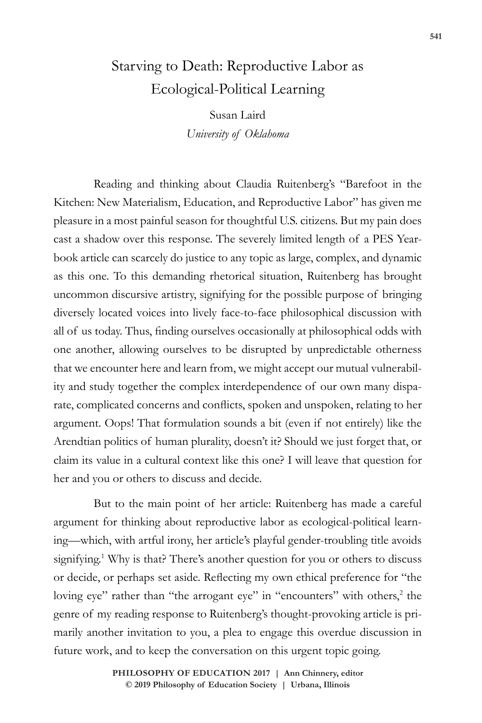## Starving to Death: Reproductive Labor as Ecological-Political Learning

Susan Laird *University of Oklahoma* 

Reading and thinking about Claudia Ruitenberg's "Barefoot in the Kitchen: New Materialism, Education, and Reproductive Labor" has given me pleasure in a most painful season for thoughtful U.S. citizens. But my pain does cast a shadow over this response. The severely limited length of a PES Yearbook article can scarcely do justice to any topic as large, complex, and dynamic as this one. To this demanding rhetorical situation, Ruitenberg has brought uncommon discursive artistry, signifying for the possible purpose of bringing diversely located voices into lively face-to-face philosophical discussion with all of us today. Thus, finding ourselves occasionally at philosophical odds with one another, allowing ourselves to be disrupted by unpredictable otherness that we encounter here and learn from, we might accept our mutual vulnerability and study together the complex interdependence of our own many disparate, complicated concerns and conflicts, spoken and unspoken, relating to her argument. Oops! That formulation sounds a bit (even if not entirely) like the Arendtian politics of human plurality, doesn't it? Should we just forget that, or claim its value in a cultural context like this one? I will leave that question for her and you or others to discuss and decide.

But to the main point of her article: Ruitenberg has made a careful argument for thinking about reproductive labor as ecological-political learning—which, with artful irony, her article's playful gender-troubling title avoids signifying.<sup>1</sup> Why is that? There's another question for you or others to discuss or decide, or perhaps set aside. Reflecting my own ethical preference for "the loving eye" rather than "the arrogant eye" in "encounters" with others,<sup>2</sup> the genre of my reading response to Ruitenberg's thought-provoking article is primarily another invitation to you, a plea to engage this overdue discussion in future work, and to keep the conversation on this urgent topic going.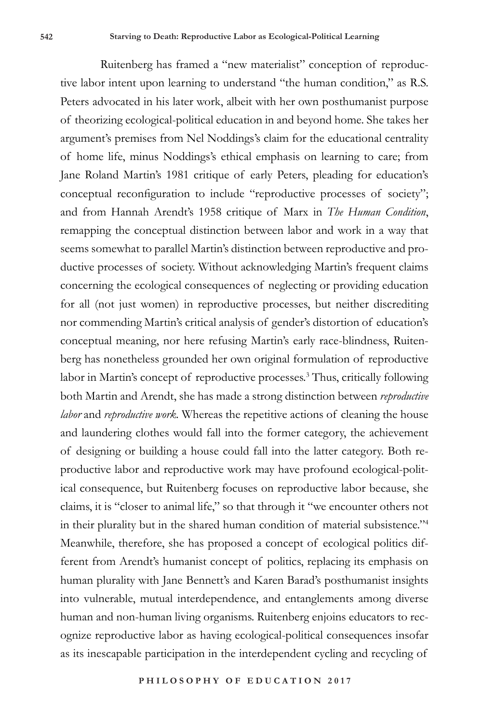Ruitenberg has framed a "new materialist" conception of reproductive labor intent upon learning to understand "the human condition," as R.S. Peters advocated in his later work, albeit with her own posthumanist purpose of theorizing ecological-political education in and beyond home. She takes her argument's premises from Nel Noddings's claim for the educational centrality of home life, minus Noddings's ethical emphasis on learning to care; from Jane Roland Martin's 1981 critique of early Peters, pleading for education's conceptual reconfiguration to include "reproductive processes of society"; and from Hannah Arendt's 1958 critique of Marx in *The Human Condition*, remapping the conceptual distinction between labor and work in a way that seems somewhat to parallel Martin's distinction between reproductive and productive processes of society. Without acknowledging Martin's frequent claims concerning the ecological consequences of neglecting or providing education for all (not just women) in reproductive processes, but neither discrediting nor commending Martin's critical analysis of gender's distortion of education's conceptual meaning, nor here refusing Martin's early race-blindness, Ruitenberg has nonetheless grounded her own original formulation of reproductive labor in Martin's concept of reproductive processes.3 Thus, critically following both Martin and Arendt, she has made a strong distinction between *reproductive labor* and *reproductive work.* Whereas the repetitive actions of cleaning the house and laundering clothes would fall into the former category, the achievement of designing or building a house could fall into the latter category. Both reproductive labor and reproductive work may have profound ecological-political consequence, but Ruitenberg focuses on reproductive labor because, she claims, it is "closer to animal life," so that through it "we encounter others not in their plurality but in the shared human condition of material subsistence."4 Meanwhile, therefore, she has proposed a concept of ecological politics different from Arendt's humanist concept of politics, replacing its emphasis on human plurality with Jane Bennett's and Karen Barad's posthumanist insights into vulnerable, mutual interdependence, and entanglements among diverse human and non-human living organisms. Ruitenberg enjoins educators to recognize reproductive labor as having ecological-political consequences insofar as its inescapable participation in the interdependent cycling and recycling of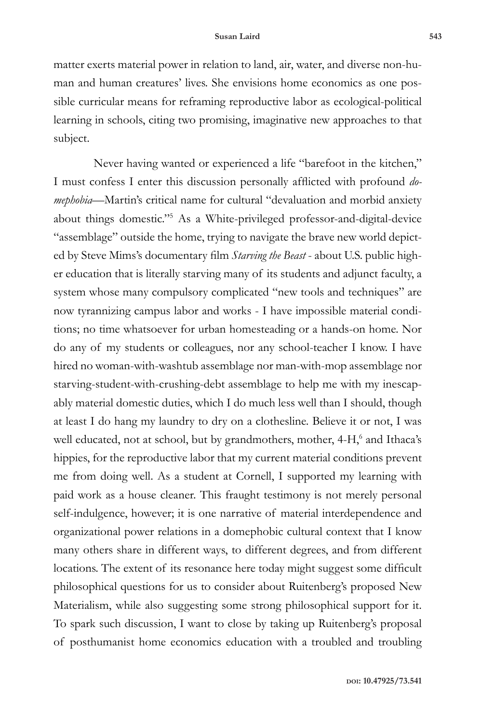matter exerts material power in relation to land, air, water, and diverse non-human and human creatures' lives. She envisions home economics as one possible curricular means for reframing reproductive labor as ecological-political learning in schools, citing two promising, imaginative new approaches to that subject.

Never having wanted or experienced a life "barefoot in the kitchen," I must confess I enter this discussion personally afflicted with profound *domephobia—*Martin's critical name for cultural "devaluation and morbid anxiety about things domestic."5 As a White-privileged professor-and-digital-device "assemblage" outside the home, trying to navigate the brave new world depicted by Steve Mims's documentary film *Starving the Beast* - about U.S. public higher education that is literally starving many of its students and adjunct faculty, a system whose many compulsory complicated "new tools and techniques" are now tyrannizing campus labor and works - I have impossible material conditions; no time whatsoever for urban homesteading or a hands-on home. Nor do any of my students or colleagues, nor any school-teacher I know. I have hired no woman-with-washtub assemblage nor man-with-mop assemblage nor starving-student-with-crushing-debt assemblage to help me with my inescapably material domestic duties, which I do much less well than I should, though at least I do hang my laundry to dry on a clothesline. Believe it or not, I was well educated, not at school, but by grandmothers, mother, 4-H,<sup>6</sup> and Ithaca's hippies, for the reproductive labor that my current material conditions prevent me from doing well. As a student at Cornell, I supported my learning with paid work as a house cleaner. This fraught testimony is not merely personal self-indulgence, however; it is one narrative of material interdependence and organizational power relations in a domephobic cultural context that I know many others share in different ways, to different degrees, and from different locations. The extent of its resonance here today might suggest some difficult philosophical questions for us to consider about Ruitenberg's proposed New Materialism, while also suggesting some strong philosophical support for it. To spark such discussion, I want to close by taking up Ruitenberg's proposal of posthumanist home economics education with a troubled and troubling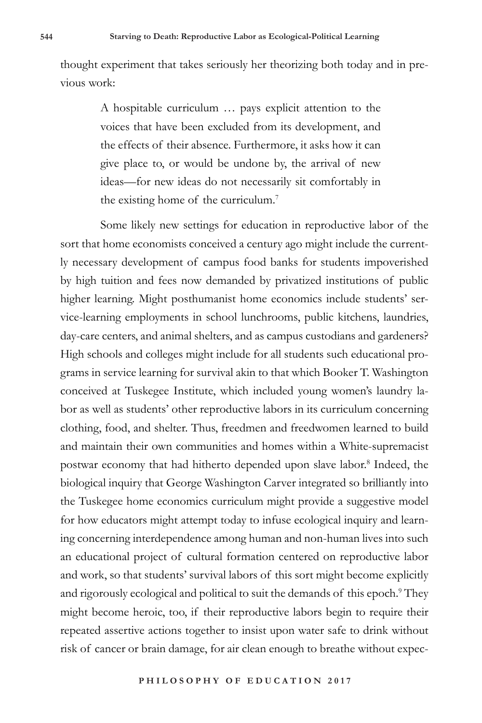thought experiment that takes seriously her theorizing both today and in previous work:

> A hospitable curriculum … pays explicit attention to the voices that have been excluded from its development, and the effects of their absence. Furthermore, it asks how it can give place to, or would be undone by, the arrival of new ideas—for new ideas do not necessarily sit comfortably in the existing home of the curriculum.<sup>7</sup>

Some likely new settings for education in reproductive labor of the sort that home economists conceived a century ago might include the currently necessary development of campus food banks for students impoverished by high tuition and fees now demanded by privatized institutions of public higher learning. Might posthumanist home economics include students' service-learning employments in school lunchrooms, public kitchens, laundries, day-care centers, and animal shelters, and as campus custodians and gardeners? High schools and colleges might include for all students such educational programs in service learning for survival akin to that which Booker T. Washington conceived at Tuskegee Institute, which included young women's laundry labor as well as students' other reproductive labors in its curriculum concerning clothing, food, and shelter. Thus, freedmen and freedwomen learned to build and maintain their own communities and homes within a White-supremacist postwar economy that had hitherto depended upon slave labor.<sup>8</sup> Indeed, the biological inquiry that George Washington Carver integrated so brilliantly into the Tuskegee home economics curriculum might provide a suggestive model for how educators might attempt today to infuse ecological inquiry and learning concerning interdependence among human and non-human lives into such an educational project of cultural formation centered on reproductive labor and work, so that students' survival labors of this sort might become explicitly and rigorously ecological and political to suit the demands of this epoch.<sup>9</sup> They might become heroic, too, if their reproductive labors begin to require their repeated assertive actions together to insist upon water safe to drink without risk of cancer or brain damage, for air clean enough to breathe without expec-